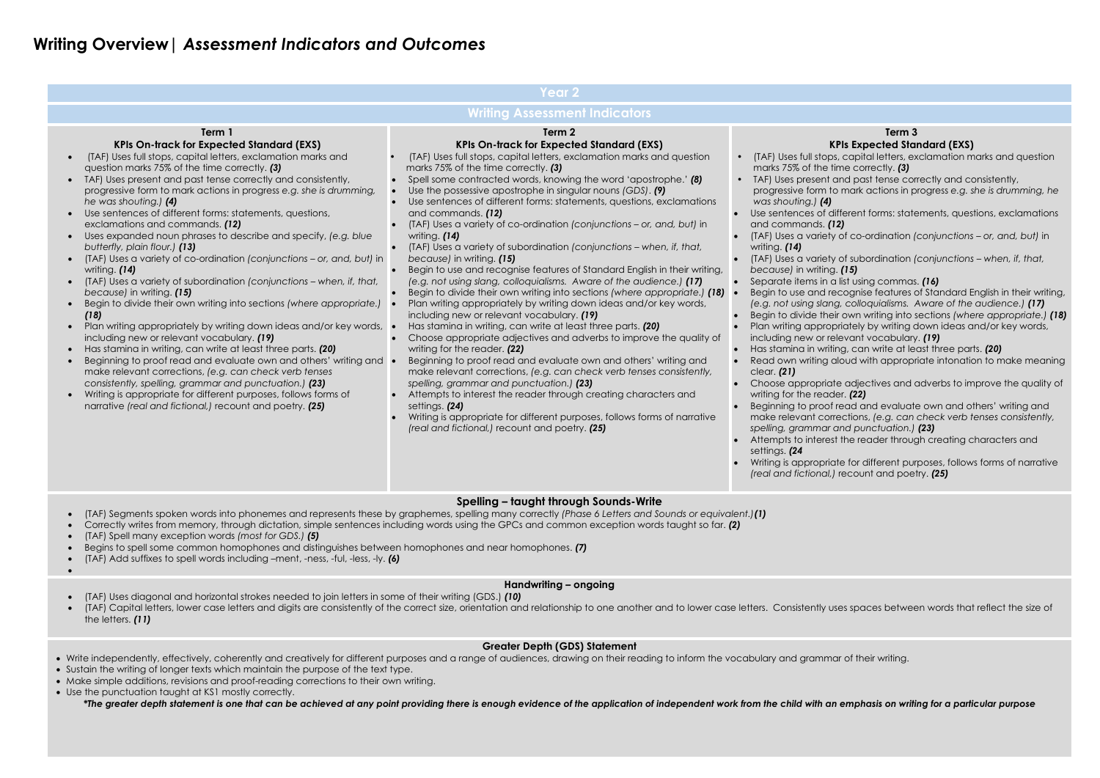# **Writing Overview|** *Assessment Indicators and Outcomes*

ecognise features of Standard English in their writing, *(e.g. not using slang, colloquialisms. Aware of the audience.) (17)*

Begin to divide their own writing into sections *(where appropriate.) (18)* priately by writing down ideas and/or key words, elevant vocabulary. *(19)* 

 $\frac{1}{20}$  can write at least three parts. *(20)* 

aloud with appropriate intonation to make meaning

Ite adjectives and adverbs to improve the quality of der. **(22)** 

fread and evaluate own and others' writing and  $r$ ections, *(e.g. can check verb tenses consistently, spelling, grammar and punctuation.) (23)*

st the reader through creating characters and

ate for different purposes, follows forms of narrative *(real and fictional,)* recount and poetry. *(25)*

- (TAF) Segments spoken words into phonemes and represents these by graphemes, spelling many correctly *(Phase 6 Letters and Sounds or equivalent.)(1)*
- Correctly writes from memory, through dictation, simple sentences including words using the GPCs and common exception words taught so far. *(2)*
- (TAF) Spell many exception words *(most for GDS.) (5)*
- Begins to spell some common homophones and distinguishes between homophones and near homophones. *(7)*
- (TAF) Add suffixes to spell words including –ment, -ness, -ful, -less, -ly. *(6)*
- $\bullet$
- 

|                                                                                                                                                                                                                                                                                                                                                                                                                                                                                                                                                                                                                                                                                                                                                                                                                                                                                                                                                                                                                                                                                                                                                                                                                                                                                                                                                                                                                                                                          | <b>Year 2</b>                                                                                                                                                                                                                                                                                                                                                                                                                                                                                                                                                                                                                                                                                                                                                                                                                                                                                                                                                                                                                                                                                                                                                                                                                                                                                                                                                                                                                                                                                                                                         |                                                                                                                                                                                                                                                                                                                                                                                                                                                                                                                                                                                                                                                                                                                                              |  |  |  |  |  |
|--------------------------------------------------------------------------------------------------------------------------------------------------------------------------------------------------------------------------------------------------------------------------------------------------------------------------------------------------------------------------------------------------------------------------------------------------------------------------------------------------------------------------------------------------------------------------------------------------------------------------------------------------------------------------------------------------------------------------------------------------------------------------------------------------------------------------------------------------------------------------------------------------------------------------------------------------------------------------------------------------------------------------------------------------------------------------------------------------------------------------------------------------------------------------------------------------------------------------------------------------------------------------------------------------------------------------------------------------------------------------------------------------------------------------------------------------------------------------|-------------------------------------------------------------------------------------------------------------------------------------------------------------------------------------------------------------------------------------------------------------------------------------------------------------------------------------------------------------------------------------------------------------------------------------------------------------------------------------------------------------------------------------------------------------------------------------------------------------------------------------------------------------------------------------------------------------------------------------------------------------------------------------------------------------------------------------------------------------------------------------------------------------------------------------------------------------------------------------------------------------------------------------------------------------------------------------------------------------------------------------------------------------------------------------------------------------------------------------------------------------------------------------------------------------------------------------------------------------------------------------------------------------------------------------------------------------------------------------------------------------------------------------------------------|----------------------------------------------------------------------------------------------------------------------------------------------------------------------------------------------------------------------------------------------------------------------------------------------------------------------------------------------------------------------------------------------------------------------------------------------------------------------------------------------------------------------------------------------------------------------------------------------------------------------------------------------------------------------------------------------------------------------------------------------|--|--|--|--|--|
| <b>Writing Assessment Indicators</b>                                                                                                                                                                                                                                                                                                                                                                                                                                                                                                                                                                                                                                                                                                                                                                                                                                                                                                                                                                                                                                                                                                                                                                                                                                                                                                                                                                                                                                     |                                                                                                                                                                                                                                                                                                                                                                                                                                                                                                                                                                                                                                                                                                                                                                                                                                                                                                                                                                                                                                                                                                                                                                                                                                                                                                                                                                                                                                                                                                                                                       |                                                                                                                                                                                                                                                                                                                                                                                                                                                                                                                                                                                                                                                                                                                                              |  |  |  |  |  |
| Term 1<br><b>KPIs On-track for Expected Standard (EXS)</b><br>(TAF) Uses full stops, capital letters, exclamation marks and<br>$\bullet$<br>question marks 75% of the time correctly. (3)<br>TAF) Uses present and past tense correctly and consistently,<br>$\bullet$<br>progressive form to mark actions in progress e.g. she is drumming,<br>he was shouting.) (4)<br>Use sentences of different forms: statements, questions,<br>$\bullet$<br>exclamations and commands. (12)<br>Uses expanded noun phrases to describe and specify, (e.g. blue<br>$\bullet$<br>butterfly, plain flour.) (13)<br>(TAF) Uses a variety of co-ordination (conjunctions - or, and, but) in<br>$\bullet$<br>writing. (14)<br>(TAF) Uses a variety of subordination (conjunctions - when, if, that,<br>$\bullet$<br>because) in writing. (15)<br>Begin to divide their own writing into sections (where appropriate.)<br>$\bullet$<br>(18)<br>Plan writing appropriately by writing down ideas and/or key words,<br>$\bullet$<br>including new or relevant vocabulary. (19)<br>Has stamina in writing, can write at least three parts. (20)<br>$\bullet$<br>Beginning to proof read and evaluate own and others' writing and $\bullet$<br>make relevant corrections, (e.g. can check verb tenses<br>consistently, spelling, grammar and punctuation.) (23)<br>Writing is appropriate for different purposes, follows forms of<br>narrative (real and fictional,) recount and poetry. (25) | Term 2<br><b>KPIs On-track for Expected Standard (EXS)</b><br>(TAF) Uses full stops, capital letters, exclamation marks and question<br>marks 75% of the time correctly. (3)<br>Spell some contracted words, knowing the word 'apostrophe.' (8)<br>Use the possessive apostrophe in singular nouns (GDS). (9)<br>Use sentences of different forms: statements, questions, exclamations<br>and commands. (12)<br>(TAF) Uses a variety of co-ordination (conjunctions - or, and, but) in<br>writing. (14)<br>(TAF) Uses a variety of subordination (conjunctions – when, if, that,<br>because) in writing. (15)<br>Begin to use and recognise features of Standard English in their writing,<br>(e.g. not using slang, colloquialisms. Aware of the audience.) (17)<br>Begin to divide their own writing into sections (where appropriate.) (18)<br>Plan writing appropriately by writing down ideas and/or key words,<br>including new or relevant vocabulary. (19)<br>Has stamina in writing, can write at least three parts. (20)<br>Choose appropriate adjectives and adverbs to improve the quality of<br>writing for the reader. (22)<br>Beginning to proof read and evaluate own and others' writing and<br>make relevant corrections, (e.g. can check verb tenses consistently,<br>spelling, grammar and punctuation.) (23)<br>Attempts to interest the reader through creating characters and<br>settings. (24)<br>Writing is appropriate for different purposes, follows forms of narrative<br>(real and fictional,) recount and poetry. (25) | <b>KPI</b><br>(TAF) Uses full stops, a<br>marks 75% of the tim<br>TAF) Uses present an<br>progressive form to r<br>was shouting.) (4)<br>Use sentences of diffe<br>and commands. (12)<br>(TAF) Uses a variety o<br>writing. (14)<br>(TAF) Uses a variety o<br>because) in writing. (<br>Separate items in a list<br>Begin to use and rec-<br>(e.g. not using slang,<br>Begin to divide their a<br>Plan writing approprie<br>including new or rele<br>Has stamina in writing<br>Read own writing ald<br>clear. (21)<br>Choose appropriate<br>writing for the reader<br>Beginning to proof re<br>make relevant corred<br>spelling, grammar an<br>Attempts to interest t<br>settings. (24<br>Writing is appropriate<br>(real and fictional,) re |  |  |  |  |  |
|                                                                                                                                                                                                                                                                                                                                                                                                                                                                                                                                                                                                                                                                                                                                                                                                                                                                                                                                                                                                                                                                                                                                                                                                                                                                                                                                                                                                                                                                          | Spelling – taught through Sounds-Write                                                                                                                                                                                                                                                                                                                                                                                                                                                                                                                                                                                                                                                                                                                                                                                                                                                                                                                                                                                                                                                                                                                                                                                                                                                                                                                                                                                                                                                                                                                |                                                                                                                                                                                                                                                                                                                                                                                                                                                                                                                                                                                                                                                                                                                                              |  |  |  |  |  |

#### **Term 3 KPIs Expected Standard (EXS)**

es, capital letters, exclamation marks and question time correctly. **(3)** 

and past tense correctly and consistently,

prom mark actions in progress *e.g.* she is drumming, he

different forms: statements, questions, exclamations

(TAF) Uses a variety of co-ordination *(conjunctions – or, and, but)* in

 (TAF) Uses a variety of subordination *(conjunctions – when, if, that, because)* in writing. *(15)*

a list using commas. *(16)* 

# **Handwriting – ongoing**

- (TAF) Uses diagonal and horizontal strokes needed to join letters in some of their writing (GDS.) *(10)*
- (TAF) Capital letters, lower case letters and digits are consistently of the correct size, orientation and relationship to one another and to lower case letters. Consistently uses spaces between words that reflect the size the letters. *(11)*

# **Greater Depth (GDS) Statement**

- Write independently, effectively, coherently and creatively for different purposes and a range of audiences, drawing on their reading to inform the vocabulary and grammar of their writing.
- Sustain the writing of longer texts which maintain the purpose of the text type.
- Make simple additions, revisions and proof-reading corrections to their own writing.
- Use the punctuation taught at KS1 mostly correctly.

*\*The greater depth statement is one that can be achieved at any point providing there is enough evidence of the application of independent work from the child with an emphasis on writing for a particular purpose*